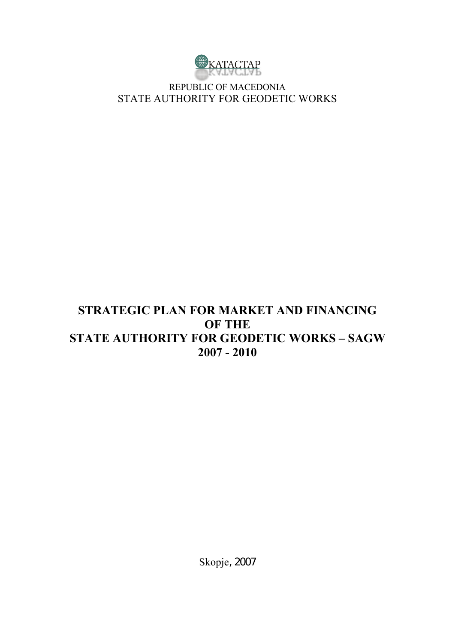

REPUBLIC OF MACEDONIA STATE AUTHORITY FOR GEODETIC WORKS

## **STRATEGIC PLAN FOR MARKET AND FINANCING OF THE STATE AUTHORITY FOR GEODETIC WORKS – SAGW 2007 - 2010**

Skopje, 2007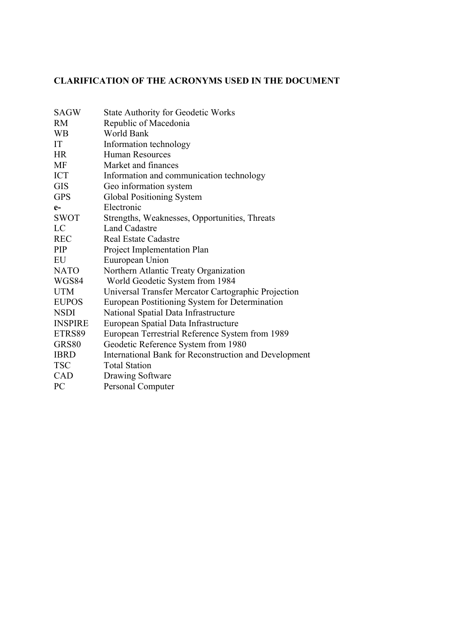### **CLARIFICATION OF THE ACRONYMS USED IN THE DOCUMENT**

| <b>SAGW</b>    | <b>State Authority for Geodetic Works</b>             |
|----------------|-------------------------------------------------------|
| <b>RM</b>      | Republic of Macedonia                                 |
| <b>WB</b>      | World Bank                                            |
| IT             | Information technology                                |
| <b>HR</b>      | <b>Human Resources</b>                                |
| MF             | Market and finances                                   |
| <b>ICT</b>     | Information and communication technology              |
| <b>GIS</b>     | Geo information system                                |
| <b>GPS</b>     | Global Positioning System                             |
| $e-$           | Electronic                                            |
| <b>SWOT</b>    | Strengths, Weaknesses, Opportunities, Threats         |
| LC             | <b>Land Cadastre</b>                                  |
| <b>REC</b>     | <b>Real Estate Cadastre</b>                           |
| PIP            | Project Implementation Plan                           |
| EU             | Euuropean Union                                       |
| <b>NATO</b>    | Northern Atlantic Treaty Organization                 |
| WGS84          | World Geodetic System from 1984                       |
| <b>UTM</b>     | Universal Transfer Mercator Cartographic Projection   |
| <b>EUPOS</b>   | European Postitioning System for Determination        |
| <b>NSDI</b>    | National Spatial Data Infrastructure                  |
| <b>INSPIRE</b> | European Spatial Data Infrastructure                  |
| ETRS89         | European Terrestrial Reference System from 1989       |
| GRS80          | Geodetic Reference System from 1980                   |
| <b>IBRD</b>    | International Bank for Reconstruction and Development |
| <b>TSC</b>     | <b>Total Station</b>                                  |
| CAD            | Drawing Software                                      |
| <b>PC</b>      | Personal Computer                                     |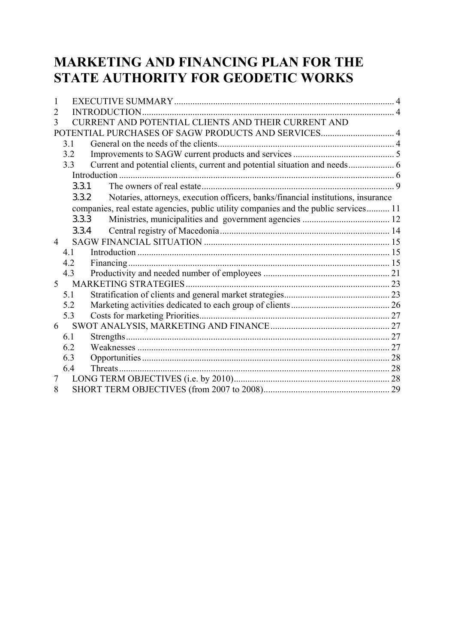# **MARKETING AND FINANCING PLAN FOR THE STATE AUTHORITY FOR GEODETIC WORKS**

| 1 |       |                                                                                      |  |
|---|-------|--------------------------------------------------------------------------------------|--|
| 2 |       | <b>INTRODUCTION</b>                                                                  |  |
| 3 |       | URRENT AND POTENTIAL CLIENTS AND THEIR CURRENT AND                                   |  |
|   |       | POTENTIAL PURCHASES OF SAGW PRODUCTS AND SERVICES 4                                  |  |
|   | 3.1   |                                                                                      |  |
|   | 3.2   |                                                                                      |  |
|   | 3.3   | Current and potential clients, current and potential situation and needs 6           |  |
|   |       |                                                                                      |  |
|   | 3.3.1 |                                                                                      |  |
|   | 3.3.2 | Notaries, attorneys, execution officers, banks/financial institutions, insurance     |  |
|   |       | companies, real estate agencies, public utility companies and the public services 11 |  |
|   | 3.3.3 |                                                                                      |  |
|   | 3.3.4 |                                                                                      |  |
| 4 |       |                                                                                      |  |
|   | 41    |                                                                                      |  |
|   | 4.2   |                                                                                      |  |
|   | 4.3   |                                                                                      |  |
| 5 |       |                                                                                      |  |
|   | 5.1   |                                                                                      |  |
|   | 5.2   |                                                                                      |  |
|   | 5.3   |                                                                                      |  |
| 6 |       |                                                                                      |  |
|   | 6.1   |                                                                                      |  |
|   | 6.2   |                                                                                      |  |
|   | 6.3   |                                                                                      |  |
|   | 6.4   |                                                                                      |  |
| 7 |       |                                                                                      |  |
| 8 |       |                                                                                      |  |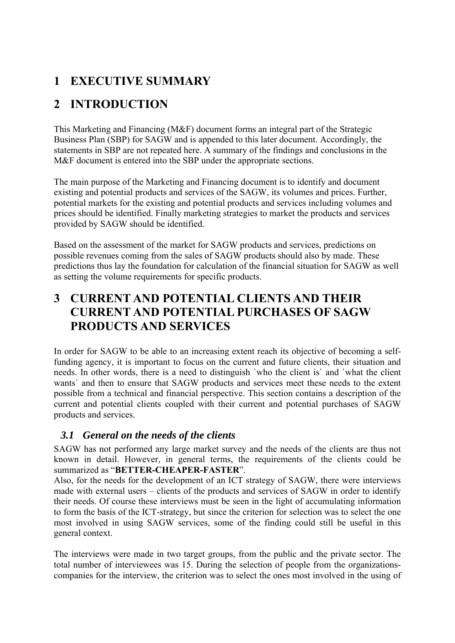### **1 EXECUTIVE SUMMARY**

# **2 INTRODUCTION**

This Marketing and Financing (M&F) document forms an integral part of the Strategic Business Plan (SBP) for SAGW and is appended to this later document. Accordingly, the statements in SBP are not repeated here. A summary of the findings and conclusions in the M&F document is entered into the SBP under the appropriate sections.

The main purpose of the Marketing and Financing document is to identify and document existing and potential products and services of the SAGW, its volumes and prices. Further, potential markets for the existing and potential products and services including volumes and prices should be identified. Finally marketing strategies to market the products and services provided by SAGW should be identified.

Based on the assessment of the market for SAGW products and services, predictions on possible revenues coming from the sales of SAGW products should also by made. These predictions thus lay the foundation for calculation of the financial situation for SAGW as well as setting the volume requirements for specific products.

### **3 CURRENT AND POTENTIAL CLIENTS AND THEIR CURRENT AND POTENTIAL PURCHASES OF SAGW PRODUCTS AND SERVICES**

In order for SAGW to be able to an increasing extent reach its objective of becoming a selffunding agency, it is important to focus on the current and future clients, their situation and needs. In other words, there is a need to distinguish `who the client is` and `what the client wants` and then to ensure that SAGW products and services meet these needs to the extent possible from a technical and financial perspective. This section contains a description of the current and potential clients coupled with their current and potential purchases of SAGW products and services.

### *3.1 General on the needs of the clients*

SAGW has not performed any large market survey and the needs of the clients are thus not known in detail. However, in general terms, the requirements of the clients could be summarized as "**BETTER-CHEAPER-FASTER**".

Also, for the needs for the development of an ICT strategy of SAGW, there were interviews made with external users – clients of the products and services of SAGW in order to identify their needs. Of course these interviews must be seen in the light of accumulating information to form the basis of the ICT-strategy, but since the criterion for selection was to select the one most involved in using SAGW services, some of the finding could still be useful in this general context.

The interviews were made in two target groups, from the public and the private sector. The total number of interviewees was 15. During the selection of people from the organizationscompanies for the interview, the criterion was to select the ones most involved in the using of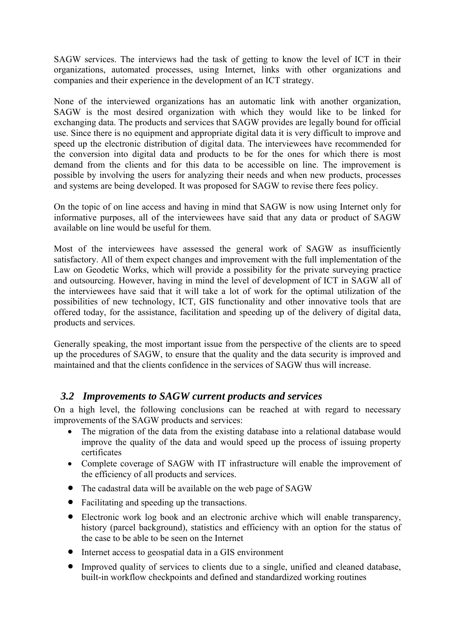SAGW services. The interviews had the task of getting to know the level of ICT in their organizations, automated processes, using Internet, links with other organizations and companies and their experience in the development of an ICT strategy.

None of the interviewed organizations has an automatic link with another organization, SAGW is the most desired organization with which they would like to be linked for exchanging data. The products and services that SAGW provides are legally bound for official use. Since there is no equipment and appropriate digital data it is very difficult to improve and speed up the electronic distribution of digital data. The interviewees have recommended for the conversion into digital data and products to be for the ones for which there is most demand from the clients and for this data to be accessible on line. The improvement is possible by involving the users for analyzing their needs and when new products, processes and systems are being developed. It was proposed for SAGW to revise there fees policy.

On the topic of on line access and having in mind that SAGW is now using Internet only for informative purposes, all of the interviewees have said that any data or product of SAGW available on line would be useful for them.

Most of the interviewees have assessed the general work of SAGW as insufficiently satisfactory. All of them expect changes and improvement with the full implementation of the Law on Geodetic Works, which will provide a possibility for the private surveying practice and outsourcing. However, having in mind the level of development of ICT in SAGW all of the interviewees have said that it will take a lot of work for the optimal utilization of the possibilities of new technology, ICT, GIS functionality and other innovative tools that are offered today, for the assistance, facilitation and speeding up of the delivery of digital data, products and services.

Generally speaking, the most important issue from the perspective of the clients are to speed up the procedures of SAGW, to ensure that the quality and the data security is improved and maintained and that the clients confidence in the services of SAGW thus will increase.

### *3.2 Improvements to SAGW current products and services*

On a high level, the following conclusions can be reached at with regard to necessary improvements of the SAGW products and services:

- The migration of the data from the existing database into a relational database would improve the quality of the data and would speed up the process of issuing property certificates
- Complete coverage of SAGW with IT infrastructure will enable the improvement of the efficiency of all products and services.
- The cadastral data will be available on the web page of SAGW
- Facilitating and speeding up the transactions.
- Electronic work log book and an electronic archive which will enable transparency, history (parcel background), statistics and efficiency with an option for the status of the case to be able to be seen on the Internet
- Internet access to geospatial data in a GIS environment
- Improved quality of services to clients due to a single, unified and cleaned database, built-in workflow checkpoints and defined and standardized working routines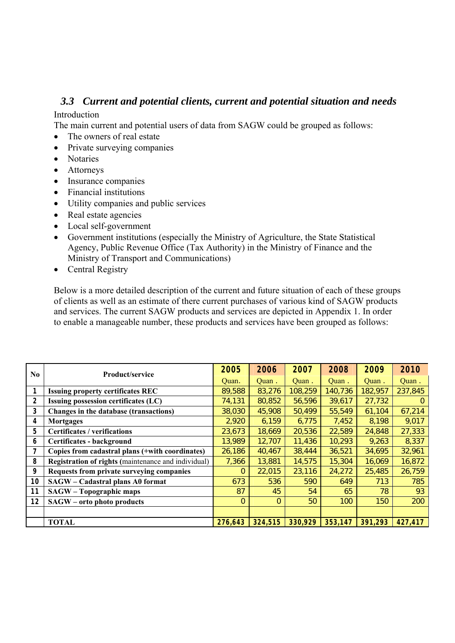### *3.3 Current and potential clients, current and potential situation and needs*

#### Introduction

The main current and potential users of data from SAGW could be grouped as follows:

- The owners of real estate
- Private surveying companies
- Notaries
- Attorneys
- Insurance companies
- Financial institutions
- Utility companies and public services
- Real estate agencies
- Local self-government
- Government institutions (especially the Ministry of Agriculture, the State Statistical Agency, Public Revenue Office (Tax Authority) in the Ministry of Finance and the Ministry of Transport and Communications)
- Central Registry

Below is a more detailed description of the current and future situation of each of these groups of clients as well as an estimate of there current purchases of various kind of SAGW products and services. The current SAGW products and services are depicted in Appendix 1. In order to enable a manageable number, these products and services have been grouped as follows:

| N <sub>0</sub> | <b>Product/service</b>                              | 2005    | 2006     | 2007    | 2008    | 2009    | 2010    |
|----------------|-----------------------------------------------------|---------|----------|---------|---------|---------|---------|
|                |                                                     | Quan.   | Quan.    | Quan.   | Quan.   | Quan.   | Quan.   |
|                | <b>Issuing property certificates REC</b>            | 89,588  | 83,276   | 108,259 | 140,736 | 182,957 | 237,845 |
| 2              | <b>Issuing possession certificates (LC)</b>         | 74,131  | 80,852   | 56,596  | 39,617  | 27,732  | 0       |
| 3              | Changes in the database (transactions)              | 38,030  | 45,908   | 50,499  | 55,549  | 61,104  | 67,214  |
| 4              | <b>Mortgages</b>                                    | 2,920   | 6,159    | 6,775   | 7,452   | 8,198   | 9,017   |
| 5              | <b>Certificates / verifications</b>                 | 23,673  | 18,669   | 20,536  | 22,589  | 24,848  | 27,333  |
| 6              | Certificates - background                           | 13,989  | 12,707   | 11,436  | 10,293  | 9,263   | 8,337   |
|                | Copies from cadastral plans (+with coordinates)     | 26,186  | 40,467   | 38,444  | 36,521  | 34,695  | 32,961  |
| 8              | Registration of rights (maintenance and individual) | 7,366   | 13,881   | 14,575  | 15,304  | 16,069  | 16,872  |
| 9              | Requests from private surveying companies           | 0       | 22,015   | 23,116  | 24,272  | 25,485  | 26,759  |
| 10             | SAGW - Cadastral plans A0 format                    | 673     | 536      | 590     | 649     | 713     | 785     |
| 11             | SAGW - Topographic maps                             | 87      | 45       | 54      | 65      | 78      | 93      |
| 12             | SAGW - orto photo products                          | 0       | $\Omega$ | 50      | 100     | 150     | 200     |
|                |                                                     |         |          |         |         |         |         |
|                | <b>TOTAL</b>                                        | 276,643 | 324,515  | 330,929 | 353,147 | 391,293 | 427,417 |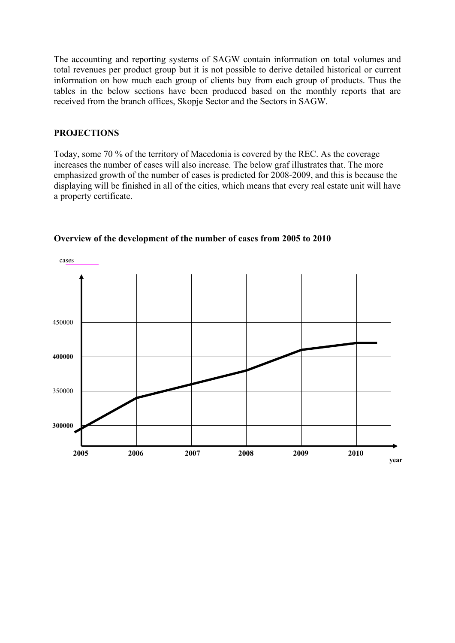The accounting and reporting systems of SAGW contain information on total volumes and total revenues per product group but it is not possible to derive detailed historical or current information on how much each group of clients buy from each group of products. Thus the tables in the below sections have been produced based on the monthly reports that are received from the branch offices, Skopje Sector and the Sectors in SAGW.

#### **PROJECTIONS**

Today, some 70 % of the territory of Macedonia is covered by the REC. As the coverage increases the number of cases will also increase. The below graf illustrates that. The more emphasized growth of the number of cases is predicted for 2008-2009, and this is because the displaying will be finished in all of the cities, which means that every real estate unit will have a property certificate.



#### **Overview of the development of the number of cases from 2005 to 2010**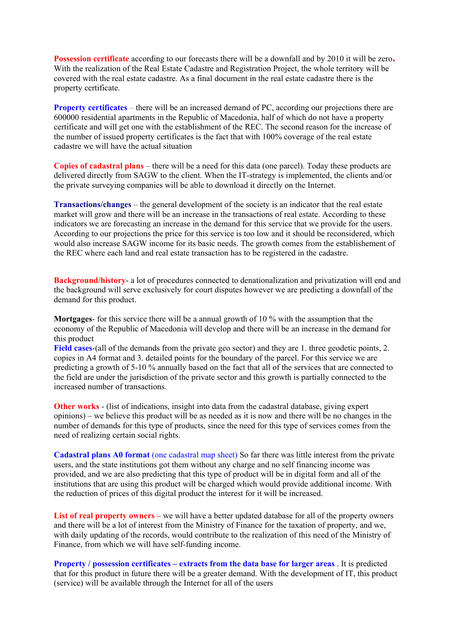**Possession certificate** according to our forecasts there will be a downfall and by 2010 it will be zero**.**  With the realization of the Real Estate Cadastre and Registration Project, the whole territory will be covered with the real estate cadastre. As a final document in the real estate cadastre there is the property certificate.

**Property certificates** – there will be an increased demand of PC, according our projections there are 600000 residential apartments in the Republic of Macedonia, half of which do not have a property certificate and will get one with the establishment of the REC. The second reason for the increase of the number of issued property certificates is the fact that with 100% coverage of the real estate cadastre we will have the actual situation

**Copies of cadastral plans** – there will be a need for this data (one parcel). Today these products are delivered directly from SAGW to the client. When the IT-strategy is implemented, the clients and/or the private surveying companies will be able to download it directly on the Internet.

**Transactions/changes** – the general development of the society is an indicator that the real estate market will grow and there will be an increase in the transactions of real estate. According to these indicators we are forecasting an increase in the demand for this service that we provide for the users. According to our projections the price for this service is too low and it should be reconsidered, which would also increase SAGW income for its basic needs. The growth comes from the establishement of the REC where each land and real estate transaction has to be registered in the cadastre.

**Background/history**- a lot of procedures connected to denationalization and privatization will end and the background will serve exclusively for court disputes however we are predicting a downfall of the demand for this product.

**Mortgages**- for this service there will be a annual growth of 10 % with the assumption that the economy of the Republic of Macedonia will develop and there will be an increase in the demand for this product

**Field cases**-(all of the demands from the private geo sector) and they are 1. three geodetic points, 2. copies in A4 format and 3. detailed points for the boundary of the parcel. For this service we are predicting a growth of 5-10 % annually based on the fact that all of the services that are connected to the field are under the jurisdiction of the private sector and this growth is partially connected to the increased number of transactions.

**Other works** - (list of indications, insight into data from the cadastral database, giving expert opinions) – we believe this product will be as needed as it is now and there will be no changes in the number of demands for this type of products, since the need for this type of services comes from the need of realizing certain social rights.

**Cadastral plans A0 format** (one cadastral map sheet) So far there was little interest from the private users, and the state institutions got them without any charge and no self financing income was provided, and we are also predicting that this type of product will be in digital form and all of the institutions that are using this product will be charged which would provide additional income. With the reduction of prices of this digital product the interest for it will be increased.

List of real property owners – we will have a better updated database for all of the property owners and there will be a lot of interest from the Ministry of Finance for the taxation of property, and we, with daily updating of the records, would contribute to the realization of this need of the Ministry of Finance, from which we will have self-funding income.

**Property / possession certificates – extracts from the data base for larger areas** . It is predicted that for this product in future there will be a greater demand. With the development of IT, this product (service) will be available through the Internet for all of the users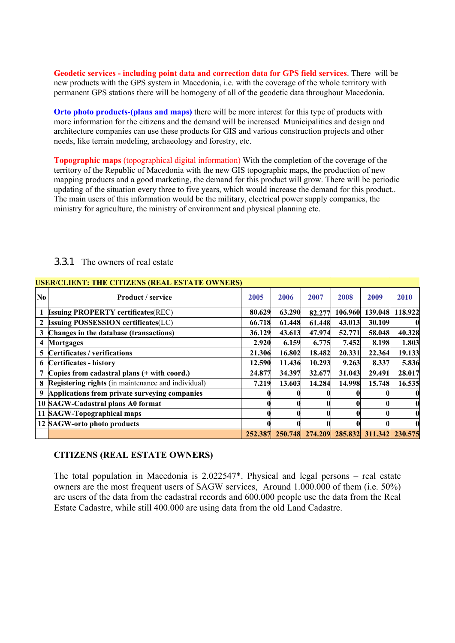**Geodetic services - including point data and correction data for GPS field services**. There will be new products with the GPS system in Macedonia, i.e. with the coverage of the whole territory with permanent GPS stations there will be homogeny of all of the geodetic data throughout Macedonia.

**Orto photo products-(plans and maps)** there will be more interest for this type of products with more information for the citizens and the demand will be increasedMunicipalities and design and architecture companies can use these products for GIS and various construction projects and other needs, like terrain modeling, archaeology and forestry, etc.

**Topographic maps** (topographical digital information) With the completion of the coverage of the territory of the Republic of Macedonia with the new GIS topographic maps, the production of new mapping products and a good marketing, the demand for this product will grow. There will be periodic updating of the situation every three to five years, which would increase the demand for this product.. The main users of this information would be the military, electrical power supply companies, the ministry for agriculture, the ministry of environment and physical planning etc.

|                | <b>USER/CLIENT: THE CITIZENS (REAL ESTATE OWNERS)</b> |        |        |        |         |                                                 |         |  |  |  |  |  |
|----------------|-------------------------------------------------------|--------|--------|--------|---------|-------------------------------------------------|---------|--|--|--|--|--|
| N <sub>0</sub> | <b>Product</b> / service                              | 2005   | 2006   | 2007   | 2008    | 2009                                            | 2010    |  |  |  |  |  |
|                | <b>Issuing PROPERTY certificates(REC)</b>             | 80.629 | 63.290 | 82.277 | 106.960 | 139.048                                         | 118.922 |  |  |  |  |  |
| $\mathbf{2}$   | <b>Issuing POSSESSION certificates(LC)</b>            | 66.718 | 61.448 | 61.448 | 43.013  | 30.109                                          |         |  |  |  |  |  |
| 3              | Changes in the database (transactions)                | 36.129 | 43.613 | 47.974 | 52.771  | 58.048                                          | 40.328  |  |  |  |  |  |
| 4              | <b>Mortgages</b>                                      | 2.920  | 6.159  | 6.775  | 7.452   | 8.198                                           | 1.803   |  |  |  |  |  |
| 5              | <b>Certificates / verifications</b>                   | 21.306 | 16.802 | 18.482 | 20.331  | 22.364                                          | 19.133  |  |  |  |  |  |
| 6              | <b>Certificates - history</b>                         | 12.590 | 11.436 | 10.293 | 9.263   | 8.337                                           | 5.836   |  |  |  |  |  |
|                | Copies from cadastral plans (+ with coord.)           | 24.877 | 34.397 | 32.677 | 31.043  | 29.491                                          | 28.017  |  |  |  |  |  |
| 8              | Registering rights (in maintenance and individual)    | 7.219  | 13.603 | 14.284 | 14.998  | 15.748                                          | 16.535  |  |  |  |  |  |
| 9              | Applications from private surveying companies         |        |        |        |         |                                                 |         |  |  |  |  |  |
|                | 10 SAGW-Cadastral plans A0 format                     |        |        |        |         |                                                 |         |  |  |  |  |  |
|                | 11 SAGW-Topographical maps                            |        |        |        |         |                                                 |         |  |  |  |  |  |
|                | 12 SAGW-orto photo products                           |        |        |        |         |                                                 |         |  |  |  |  |  |
|                |                                                       |        |        |        |         | 252.387 250.748 274.209 285.832 311.342 230.575 |         |  |  |  |  |  |

#### 3.3.1 The owners of real estate

#### **CITIZENS (REAL ESTATE OWNERS)**

The total population in Macedonia is 2.022547\*. Physical and legal persons – real estate owners are the most frequent users of SAGW services, Around 1.000.000 of them (i.e. 50%) are users of the data from the cadastral records and 600.000 people use the data from the Real Estate Cadastre, while still 400.000 are using data from the old Land Cadastre.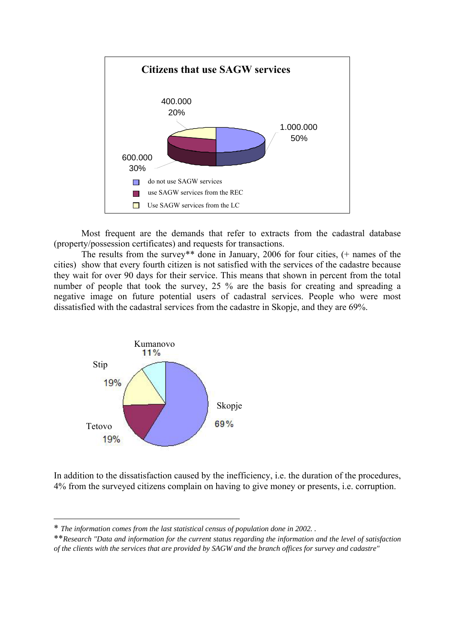

Most frequent are the demands that refer to extracts from the cadastral database (property/possession certificates) and requests for transactions.

The results from the survey\*\* done in January, 2006 for four cities, (+ names of the cities) show that every fourth citizen is not satisfied with the services of the cadastre because they wait for over 90 days for their service. This means that shown in percent from the total number of people that took the survey, 25 % are the basis for creating and spreading a negative image on future potential users of cadastral services. People who were most dissatisfied with the cadastral services from the cadastre in Skopje, and they are 69%.



In addition to the dissatisfaction caused by the inefficiency, i.e. the duration of the procedures, 4% from the surveyed citizens complain on having to give money or presents, i.e. corruption.

 $\overline{a}$ 

<sup>\*</sup> *The information comes from the last statistical census of population done in 2002. .* 

<sup>\*\*</sup>*Research "Data and information for the current status regarding the information and the level of satisfaction of the clients with the services that are provided by SAGW and the branch offices for survey and cadastre"*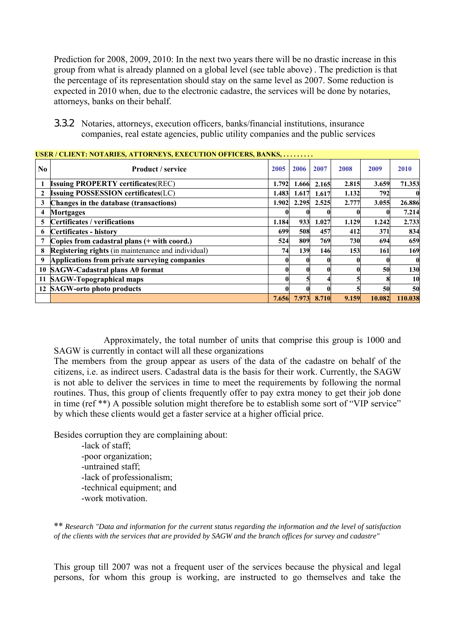Prediction for 2008, 2009, 2010: In the next two years there will be no drastic increase in this group from what is already planned on a global level (see table above) . The prediction is that the percentage of its representation should stay on the same level as 2007. Some reduction is expected in 2010 when, due to the electronic cadastre, the services will be done by notaries, attorneys, banks on their behalf.

3.3.2 Notaries, attorneys, execution officers, banks/financial institutions, insurance companies, real estate agencies, public utility companies and the public services

|    | USER / CLIENT: NOTARIES, ATTORNEYS, EXECUTION OFFICERS, BANKS, |       |       |       |       |        |             |  |  |  |  |  |
|----|----------------------------------------------------------------|-------|-------|-------|-------|--------|-------------|--|--|--|--|--|
| No | <b>Product / service</b>                                       | 2005  | 2006  | 2007  | 2008  | 2009   | 2010        |  |  |  |  |  |
|    | <b>Issuing PROPERTY certificates (REC)</b>                     | 1.792 | 1.666 | 2.165 | 2.815 | 3.659  | 71.353      |  |  |  |  |  |
| 2  | <b>Issuing POSSESSION certificates(LC)</b>                     | 1.483 | 1.617 | 1.617 | 1.132 | 792    |             |  |  |  |  |  |
| 3  | Changes in the database (transactions)                         | 1.902 | 2.295 | 2.525 | 2.777 | 3.055  | 26.886      |  |  |  |  |  |
| 4  | <b>Mortgages</b>                                               |       |       |       |       |        | 7.214       |  |  |  |  |  |
| 5. | Certificates / verifications                                   | 1.184 | 933   | 1.027 | 1.129 | 1.242  | 2.733       |  |  |  |  |  |
| 6  | Certificates - history                                         | 699   | 508   | 457   | 412   | 371    | 834         |  |  |  |  |  |
|    | Copies from cadastral plans (+ with coord.)                    | 524   | 809   | 769   | 730   | 694    | 659         |  |  |  |  |  |
| 8  | <b>Registering rights</b> (in maintenance and individual)      | 74    | 139   | 146   | 153   | 161    | 169         |  |  |  |  |  |
| 9  | Applications from private surveying companies                  |       |       |       |       |        | $\mathbf 0$ |  |  |  |  |  |
|    | 10 SAGW-Cadastral plans A0 format                              |       |       |       |       | 50     | 130         |  |  |  |  |  |
|    | 11 SAGW-Topographical maps                                     |       |       |       |       |        | 10          |  |  |  |  |  |
|    | 12 SAGW-orto photo products                                    |       |       |       |       | 50     | 50          |  |  |  |  |  |
|    |                                                                | 7.656 | 7.973 | 8.710 | 9.159 | 10.082 | 110.038     |  |  |  |  |  |

Approximately, the total number of units that comprise this group is 1000 and SAGW is currently in contact will all these organizations

The members from the group appear as users of the data of the cadastre on behalf of the citizens, i.e. as indirect users. Cadastral data is the basis for their work. Currently, the SAGW is not able to deliver the services in time to meet the requirements by following the normal routines. Thus, this group of clients frequently offer to pay extra money to get their job done in time (ref \*\*) A possible solution might therefore be to establish some sort of "VIP service" by which these clients would get a faster service at a higher official price.

Besides corruption they are complaining about:

-lack of staff; -poor organization; -untrained staff; -lack of professionalism; -technical equipment; and -work motivation.

\*\* *Research "Data and information for the current status regarding the information and the level of satisfaction of the clients with the services that are provided by SAGW and the branch offices for survey and cadastre"* 

This group till 2007 was not a frequent user of the services because the physical and legal persons, for whom this group is working, are instructed to go themselves and take the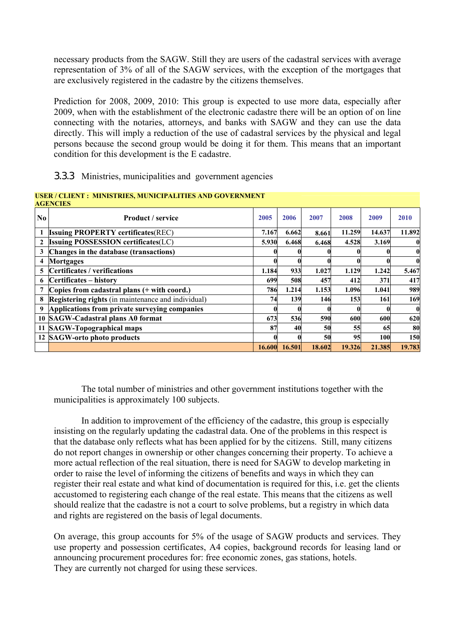necessary products from the SAGW. Still they are users of the cadastral services with average representation of 3% of all of the SAGW services, with the exception of the mortgages that are exclusively registered in the cadastre by the citizens themselves.

Prediction for 2008, 2009, 2010: This group is expected to use more data, especially after 2009, when with the establishment of the electronic cadastre there will be an option of on line connecting with the notaries, attorneys, and banks with SAGW and they can use the data directly. This will imply a reduction of the use of cadastral services by the physical and legal persons because the second group would be doing it for them. This means that an important condition for this development is the E cadastre.

### 3.3.3 Ministries, municipalities and government agencies

|                        | <b>AGENCIES</b>                                           |        |        |        |        |        |          |
|------------------------|-----------------------------------------------------------|--------|--------|--------|--------|--------|----------|
| $\mathbf{N}\mathbf{0}$ | <b>Product</b> / service                                  | 2005   | 2006   | 2007   | 2008   | 2009   | 2010     |
|                        | <b>Issuing PROPERTY certificates (REC)</b>                | 7.167  | 6.662  | 8.661  | 11.259 | 14.637 | 11.892   |
|                        | <b>Issuing POSSESSION certificates(LC)</b>                | 5.930  | 6.468  | 6.468  | 4.528  | 3.169  |          |
| 3                      | Changes in the database (transactions)                    |        |        |        |        |        | $\bf{0}$ |
| 4                      | Mortgages                                                 |        |        |        |        |        | 0        |
| 5                      | Certificates / verifications                              | 1.184  | 933    | 1.027  | 1.129  | 1.242  | 5.467    |
| 6                      | Certificates – history                                    | 699    | 508    | 457    | 412    | 371    | 417      |
|                        | Copies from cadastral plans (+ with coord.)               | 786    | 1.214  | 1.153  | 1.096  | 1.041  | 989      |
| 8                      | <b>Registering rights</b> (in maintenance and individual) | 74     | 139    | 146    | 153    | 161    | 169      |
| 9                      | Applications from private surveying companies             |        |        |        |        |        | $\bf{0}$ |
|                        | 10 SAGW-Cadastral plans A0 format                         | 673    | 536    | 590    | 600    | 600    | 620      |
|                        | 11 SAGW-Topographical maps                                | 87     | 40     | 50     | 55     | 65     | 80       |
|                        | 12 SAGW-orto photo products                               |        |        | 50     | 95     | 100    | 150      |
|                        |                                                           | 16.600 | 16.501 | 18.602 | 19.326 | 21.385 | 19.783   |

#### **USER / CLIENT : MINISTRIES, MUNICIPALITIES AND GOVERNMENT AGENCIES**

The total number of ministries and other government institutions together with the municipalities is approximately 100 subjects.

In addition to improvement of the efficiency of the cadastre, this group is especially insisting on the regularly updating the cadastral data. One of the problems in this respect is that the database only reflects what has been applied for by the citizens. Still, many citizens do not report changes in ownership or other changes concerning their property. To achieve a more actual reflection of the real situation, there is need for SAGW to develop marketing in order to raise the level of informing the citizens of benefits and ways in which they can register their real estate and what kind of documentation is required for this, i.e. get the clients accustomed to registering each change of the real estate. This means that the citizens as well should realize that the cadastre is not a court to solve problems, but a registry in which data and rights are registered on the basis of legal documents.

On average, this group accounts for 5% of the usage of SAGW products and services. They use property and possession certificates, A4 copies, background records for leasing land or announcing procurement procedures for: free economic zones, gas stations, hotels. They are currently not charged for using these services.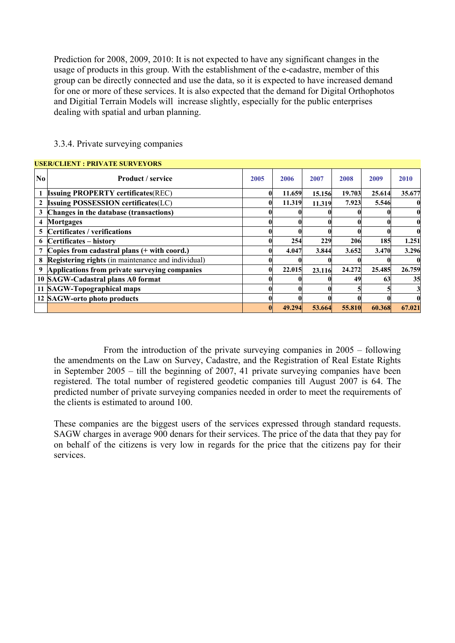Prediction for 2008, 2009, 2010: It is not expected to have any significant changes in the usage of products in this group. With the establishment of the e-cadastre, member of this group can be directly connected and use the data, so it is expected to have increased demand for one or more of these services. It is also expected that the demand for Digital Orthophotos and Digitial Terrain Models will increase slightly, especially for the public enterprises dealing with spatial and urban planning.

|          | <b>USER/CLIENT : PRIVATE SURVEYORS</b>             |      |        |        |        |        |              |
|----------|----------------------------------------------------|------|--------|--------|--------|--------|--------------|
| $\bf No$ | <b>Product</b> / service                           | 2005 | 2006   | 2007   | 2008   | 2009   | 2010         |
|          | <b>Issuing PROPERTY certificates(REC)</b>          |      | 11.659 | 15.156 | 19.703 | 25.614 | 35.677       |
|          | <b>Issuing POSSESSION certificates(LC)</b>         |      | 11.319 | 11.319 | 7.923  | 5.546  | 0            |
| 3        | Changes in the database (transactions)             |      |        |        |        |        | $\mathbf{0}$ |
| 4        | <b>Mortgages</b>                                   |      |        |        |        |        | $\mathbf{0}$ |
| 5        | Certificates / verifications                       |      |        |        |        |        | $\bf{0}$     |
| 6        | Certificates – history                             |      | 254    | 229    | 206    | 185    | 1.251        |
|          | Copies from cadastral plans (+ with coord.)        |      | 4.047  | 3.844  | 3.652  | 3.470  | 3.296        |
| 8        | Registering rights (in maintenance and individual) |      |        |        |        |        | $\mathbf 0$  |
| 9        | Applications from private surveying companies      |      | 22.015 | 23.116 | 24.272 | 25.485 | 26.759       |
|          | 10 SAGW-Cadastral plans A0 format                  |      |        |        | 49     | 63     | 35           |
|          | 11 SAGW-Topographical maps                         |      |        |        |        |        | 3            |
|          | 12 SAGW-orto photo products                        |      |        |        |        |        | $\bf{0}$     |
|          |                                                    |      | 49.294 | 53.664 | 55.810 | 60.368 | 67.021       |

#### 3.3.4. Private surveying companies

From the introduction of the private surveying companies in 2005 – following the amendments on the Law on Survey, Cadastre, and the Registration of Real Estate Rights in September 2005 – till the beginning of 2007, 41 private surveying companies have been registered. The total number of registered geodetic companies till August 2007 is 64. The predicted number of private surveying companies needed in order to meet the requirements of the clients is estimated to around 100.

These companies are the biggest users of the services expressed through standard requests. SAGW charges in average 900 denars for their services. The price of the data that they pay for on behalf of the citizens is very low in regards for the price that the citizens pay for their services.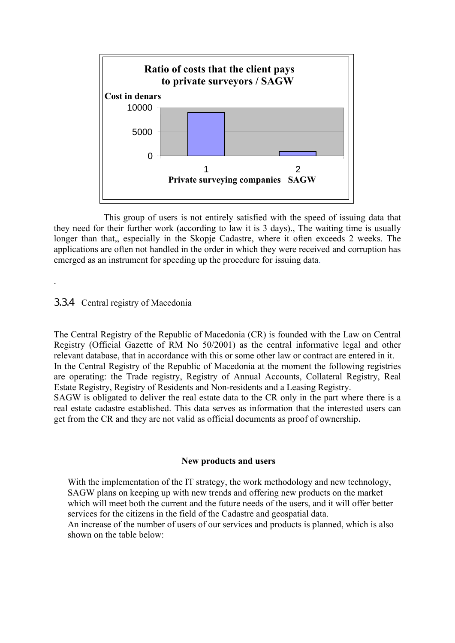

This group of users is not entirely satisfied with the speed of issuing data that they need for their further work (according to law it is 3 days)., The waiting time is usually longer than that, especially in the Skopje Cadastre, where it often exceeds 2 weeks. The applications are often not handled in the order in which they were received and corruption has emerged as an instrument for speeding up the procedure for issuing data.

#### 3.3.4 Central registry of Macedonia

.

The Central Registry of the Republic of Macedonia (CR) is founded with the Law on Central Registry (Official Gazette of RM No 50/2001) as the central informative legal and other relevant database, that in accordance with this or some other law or contract are entered in it. In the Central Registry of the Republic of Macedonia at the moment the following registries are operating: the Trade registry, Registry of Annual Accounts, Collateral Registry, Real Estate Registry, Registry of Residents and Non-residents and a Leasing Registry. SAGW is obligated to deliver the real estate data to the CR only in the part where there is a real estate cadastre established. This data serves as information that the interested users can get from the CR and they are not valid as official documents as proof of ownership.

#### **New products and users**

With the implementation of the IT strategy, the work methodology and new technology, SAGW plans on keeping up with new trends and offering new products on the market which will meet both the current and the future needs of the users, and it will offer better services for the citizens in the field of the Cadastre and geospatial data.

An increase of the number of users of our services and products is planned, which is also shown on the table below: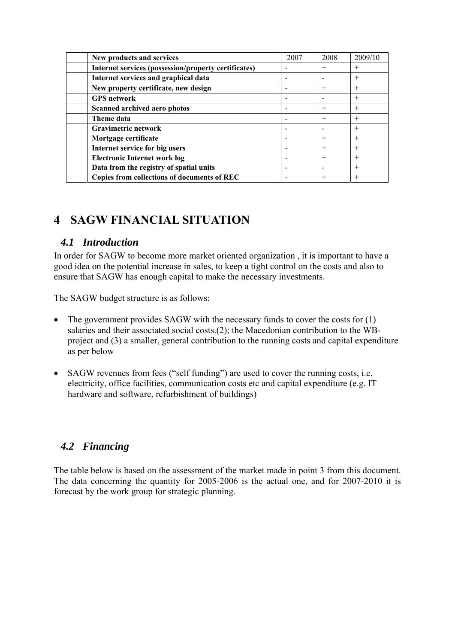| New products and services                            | 2007 | 2008                     | 2009/10 |
|------------------------------------------------------|------|--------------------------|---------|
| Internet services (possession/property certificates) |      | $^{+}$                   | $^{+}$  |
| Internet services and graphical data                 |      | $\overline{\phantom{0}}$ | $^{+}$  |
| New property certificate, new design                 |      | $^{+}$                   | $^{+}$  |
| <b>GPS</b> network                                   |      |                          | $^{+}$  |
| Scanned archived aero photos                         |      | $^{+}$                   | $^{+}$  |
| Theme data                                           |      | $^{+}$                   | $^{+}$  |
| Gravimetric network                                  |      |                          | $^{+}$  |
| Mortgage certificate                                 |      | $^{+}$                   | $\pm$   |
| Internet service for big users                       |      | $^{+}$                   | $\pm$   |
| <b>Electronic Internet work log</b>                  |      | $^{+}$                   |         |
| Data from the registry of spatial units              |      |                          | $^{+}$  |
| Copies from collections of documents of REC          |      | $^{+}$                   | $^+$    |

### **4 SAGW FINANCIAL SITUATION**

### *4.1 Introduction*

In order for SAGW to become more market oriented organization , it is important to have a good idea on the potential increase in sales, to keep a tight control on the costs and also to ensure that SAGW has enough capital to make the necessary investments.

The SAGW budget structure is as follows:

- The government provides SAGW with the necessary funds to cover the costs for (1) salaries and their associated social costs.(2); the Macedonian contribution to the WBproject and (3) a smaller, general contribution to the running costs and capital expenditure as per below
- SAGW revenues from fees ("self funding") are used to cover the running costs, i.e. electricity, office facilities, communication costs etc and capital expenditure (e.g. IT hardware and software, refurbishment of buildings)

### *4.2 Financing*

The table below is based on the assessment of the market made in point 3 from this document. The data concerning the quantity for 2005-2006 is the actual one, and for 2007-2010 it is forecast by the work group for strategic planning.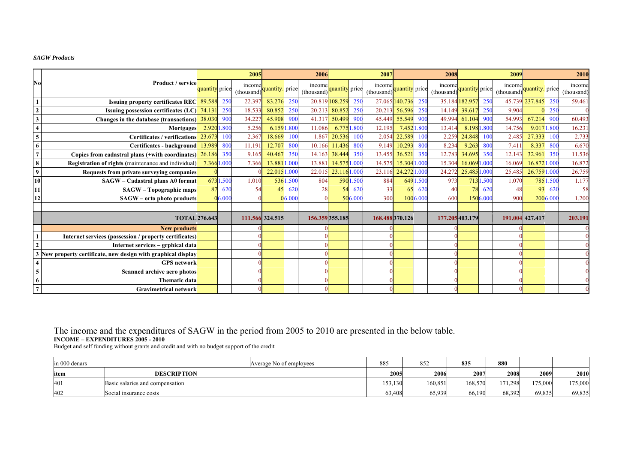#### *SAGW Products*

|                                                           |                                                             |                |          | 2005                 |                 |          | 2006                |                |                 | 2007                 |                |          | 2008                 |                |                 | 2009                |                 |          | 2010                 |
|-----------------------------------------------------------|-------------------------------------------------------------|----------------|----------|----------------------|-----------------|----------|---------------------|----------------|-----------------|----------------------|----------------|----------|----------------------|----------------|-----------------|---------------------|-----------------|----------|----------------------|
| No                                                        | Product / service                                           | quantity price |          | income<br>(thousand) | quantity. price |          | income<br>(thousand | quantity price |                 | income<br>(thousand) | quantity price |          | income<br>(thousand) | quantity price |                 | income<br>(thousand | quantity. price |          | income<br>(thousand) |
| $\overline{1}$                                            | <b>Issuing property certificates REC</b>                    | 89.588         | -250     | 22.39                | 83.276          | 250      | 20.819              | 108.259        | 250             | 27.065               | 140.736        | 250      |                      | 35.184182.957  | 25(             |                     | 45.739 237.845  | 250      | 59.461               |
| $\overline{2}$                                            | <b>Issuing possession certificates (LC)</b>                 | 74.131         | 250      | 18.533               | 80.852          | 250      | 20.213              | 80.852         | 250             | 20.213               | 56.596         | 250      | 14.149               | 39.61          | 250             | 9.904               |                 | 250      |                      |
|                                                           | Changes in the database (transactions)                      | 38.030         | 900      | 34.22                | 45.908          | 900      | 41.317              | 50.499         | 90 <sup>°</sup> | 45.449               | 55.549         | 900      | 49.994               | 61.104         | 900             | 54.993              | 67.214          | 900      | 60.493               |
| $\overline{\mathbf{4}}$                                   | Mortgages                                                   | 2.9201         | .80(     | 5.256                | 6.1591.800      |          | 11.086              | 6.775          | .800            | 12.195               | 7.452          | .800     | 13.414               | 8.1981.800     |                 | 14.756              | 9.0171.800      |          | 16.231               |
| $\frac{5}{6}$                                             | <b>Certificates / verifications</b>                         | 23.67          | 100      | 2.367                | 18.669          | 100      | 1.867               | 20.536         | 100             | 2.054                | 22.589         | 100      | 2.259                | 24.848         | 10 <sup>°</sup> | 2.485               | 27.333          | 100      | 2.733                |
|                                                           | Certificates - background                                   | 13.989         | 800      | 11.191               | 12.70           | 800      | 10.166              | 11.436         | 800             | 9.149                | 10.293         | 800      | 8.234                | 9.263          | 800             | 7.41                | 8.337           | 800      | 6.670                |
| $\overline{7}$                                            | Copies from cadastral plans (+with coordinates)             | 26.186         | 350      | 9.16                 | 40.46           | 350      | 14.163              | 38.44          | 350             | 13.455               | 36.521         | 350      | 12.783               | 34.69:         | 350             | 12.143              | 32.961          | 350      | 11.536               |
|                                                           | Registration of rights (maintenance and individual)         | 7.3661.000     |          | 7.366                | 13.8811.000     |          | 13.881              | 14.5751.000    |                 | 14.575               | 15.304 1.000   |          | 15.304               | 16.0691        | 1.000           | 16.069              | 16.872 1.000    |          | 16.872               |
| $\frac{1}{9}$                                             | Requests from private surveying companies                   |                |          |                      | 22.015 1.000    |          | 22.015              | 23.1161.000    |                 | 23.116               | 24.272 1.000   |          | 24.272               | 25.485 1.000   |                 | 25.485              | 26.7591.000     |          | 26.759               |
| $\overline{10}$                                           | SAGW - Cadastral plans A0 format                            |                | 6731.500 | 1.010                |                 | 5361.500 | 804                 | 590            | .500            | 884                  | 649            | .500     | 973                  |                | 7131.500        | 1.070               |                 | 7851.500 | 1.177                |
|                                                           | <b>SAGW</b> – Topographic maps                              | 87             | 620      | 54                   | 45              | 620      | 28                  |                | 620             | 33                   | 65             | 620      | 40                   |                | 620             | 48                  | 93              | 620      | 58                   |
| 12                                                        | SAGW - orto photo products                                  |                | 6.000    |                      |                 | 06.000   |                     |                | 506.00          | 300                  |                | 1006.000 | 600                  |                | 1506.000        | 900                 |                 | 2006.00  | 1.200                |
|                                                           |                                                             |                |          |                      |                 |          |                     |                |                 |                      |                |          |                      |                |                 |                     |                 |          |                      |
|                                                           | <b>TOTAL</b> 276.643                                        |                |          |                      | 111.566 324.515 |          | 156.359355.185      |                |                 | 168.488370.126       |                |          | 177.205 403.179      |                |                 |                     | 191.004 427.417 |          | 203.191              |
|                                                           | <b>New products</b>                                         |                |          |                      |                 |          |                     |                |                 |                      |                |          |                      |                |                 |                     |                 |          |                      |
|                                                           | Internet services (possession / property certificates)      |                |          |                      |                 |          |                     |                |                 |                      |                |          |                      |                |                 |                     |                 |          |                      |
| $\overline{2}$                                            | Internet services – grphical data                           |                |          |                      |                 |          |                     |                |                 |                      |                |          |                      |                |                 |                     |                 |          |                      |
| $\overline{\mathbf{3}}$                                   | New property certificate, new design with graphical display |                |          |                      |                 |          |                     |                |                 |                      |                |          |                      |                |                 |                     |                 |          |                      |
|                                                           | <b>GPS</b> network                                          |                |          |                      |                 |          |                     |                |                 |                      |                |          |                      |                |                 |                     |                 |          |                      |
| $\begin{array}{c c}\n4 & 5 \\ \hline\n6 & 7\n\end{array}$ | Scanned archive aero photos                                 |                |          |                      |                 |          |                     |                |                 |                      |                |          |                      |                |                 |                     |                 |          |                      |
|                                                           | <b>Thematic data</b>                                        |                |          |                      |                 |          |                     |                |                 |                      |                |          |                      |                |                 |                     |                 |          |                      |
|                                                           | <b>Gravimetrical network</b>                                |                |          |                      |                 |          |                     |                |                 |                      |                |          |                      |                |                 |                     |                 |          |                      |

# The income and the expenditures of SAGW in the period from 2005 to 2010 are presented in the below table.<br>INCOME – EXPENDITURES 2005 - 2010<br>Budget and self funding without grants and credit and with no budget support of th

| in 000 denars | Average No of employees         | 885     | 852     | 835     | 880     |         |         |
|---------------|---------------------------------|---------|---------|---------|---------|---------|---------|
| item          | <b>DESCRIPTION</b>              | 2005    | 2006    | 2007    | 2008    | 2009    | 2010    |
| 401           | Basic salaries and compensation | 153,130 | 160,851 | 168.570 | 171,298 | 175,000 | 175,000 |
| 402           | Social insurance costs          | 63,408  | 65,939  | 66,190  | 68,392  | 69,835  | 69,835  |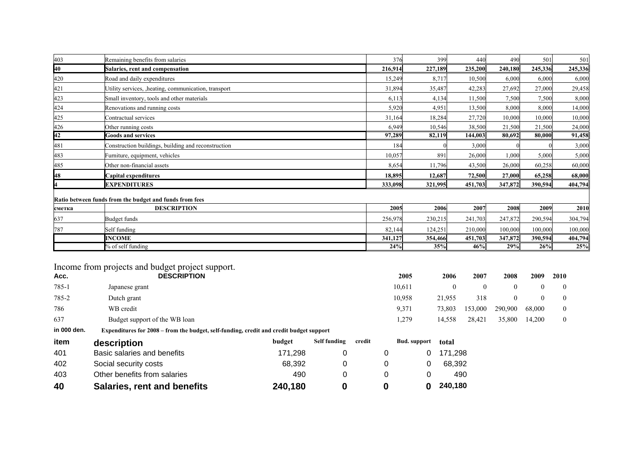|                  | Remaining benefits from salaries                                                        | 376     | 399     | 440                      | 490          | 501      | 501          |
|------------------|-----------------------------------------------------------------------------------------|---------|---------|--------------------------|--------------|----------|--------------|
| $\frac{403}{40}$ | <b>Salaries, rent and compensation</b>                                                  | 216,914 | 227,189 | 235,200                  | 240,180      | 245,336  | 245,336      |
| 420              | Road and daily expenditures                                                             | 15,249  | 8,717   | 10,500                   | 6,000        | 6,000    | 6,000        |
| 421              | Utility services, heating, communication, transport                                     | 31,894  | 35,487  | 42,283                   | 27,692       | 27,000   | 29,458       |
| 423              | Small inventory, tools and other materials                                              | 6,113   | 4,134   | 11,500                   | 7,500        | 7,500    | 8,000        |
| 424              | Renovations and running costs                                                           | 5,920   | 4,951   | 13,500                   | 8,000        | 8,000    | 14,000       |
| 425              | Contractual services                                                                    | 31,164  | 18,284  | 27,720                   | 10,000       | 10,000   | 10,000       |
|                  | Other running costs                                                                     | 6,949   | 10,546  | 38,500                   | 21,500       | 21,500   | 24,000       |
| 426<br><b>42</b> | <b>Goods and services</b>                                                               | 97,289  | 82,119  | 144,003                  | 80,692       | 80,000   | 91,458       |
| 481              | Construction buildings, building and reconstruction                                     | 184     |         | 3,000                    |              |          | 3,000        |
| 483              | Furniture, equipment, vehicles                                                          | 10,057  | 891     | 26,000                   | 1,000        | 5,000    | 5,000        |
| 485              | Other non-financial assets                                                              | 8,654   | 11,796  | 43,500                   | 26,000       | 60,258   | 60,000       |
| 48               | Capital expenditures                                                                    | 18,895  | 12,687  | 72,500                   | 27,000       | 65,258   | 68,000       |
|                  | <b>EXPENDITURES</b>                                                                     | 333,098 | 321,995 | 451,703                  | 347,872      | 390.594  | 404,794      |
|                  | Ratio between funds from the budget and funds from fees                                 |         |         |                          |              |          |              |
| сметка           | <b>DESCRIPTION</b>                                                                      | 2005    | 2006    | 2007                     | 2008         | 2009     | 2010         |
| 637              | Budget funds                                                                            | 256,978 | 230,215 | 241,703                  | 247,872      | 290,594  | 304,794      |
| 787              | Self funding                                                                            | 82,144  | 124,251 | 210,000                  | 100,000      | 100,000  | 100,000      |
|                  | <b>INCOME</b>                                                                           | 341,127 | 354,466 | 451,703                  | 347,872      | 390,594  | 404,794      |
|                  | % of self funding                                                                       | 24%     | 35%     | 46%                      | 29%          | 26%      | 25%          |
|                  |                                                                                         |         |         |                          |              |          |              |
|                  | Income from projects and budget project support.                                        |         |         |                          |              |          |              |
| Acc.             | <b>DESCRIPTION</b>                                                                      | 2005    | 2006    | 2007                     | 2008         | 2009     | 2010         |
| 785-1            | Japanese grant                                                                          | 10,611  |         | $\mathbf{0}$<br>$\theta$ | $\mathbf{0}$ | $\theta$ | 0            |
| 785-2            | Dutch grant                                                                             | 10,958  | 21,955  | 318                      | $\mathbf{0}$ | $\Omega$ | 0            |
| 786              | WB credit                                                                               | 9,371   | 73,803  | 153,000                  | 290,900      | 68,000   | 0            |
| 637              | Budget support of the WB loan                                                           | 1,279   | 14,558  | 28,421                   | 35,800       | 14,200   | $\mathbf{0}$ |
| in 000 den.      | Expenditures for 2008 – from the budget, self-funding, credit and credit budget support |         |         |                          |              |          |              |

| item | description                        | budget  | Self funding | credit | <b>Bud.</b> support | total   |
|------|------------------------------------|---------|--------------|--------|---------------------|---------|
| 401  | Basic salaries and benefits        | 171.298 |              |        |                     | 171.298 |
| 402  | Social security costs              | 68.392  |              |        |                     | 68.392  |
| 403  | Other benefits from salaries       | 490     |              |        |                     | 490     |
| 40   | <b>Salaries, rent and benefits</b> | 240,180 |              |        |                     | 240,180 |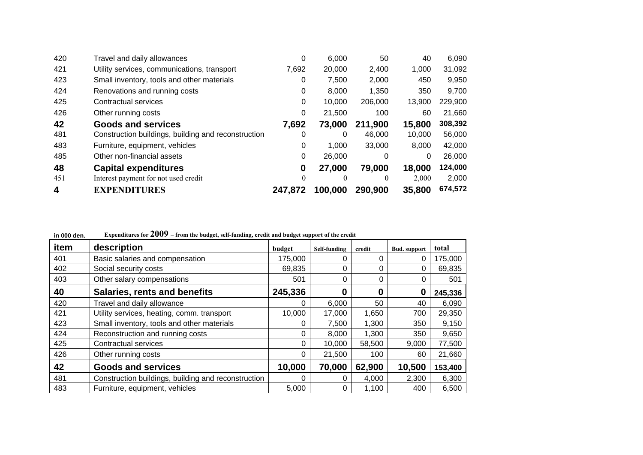| 420 | Travel and daily allowances                         | 0        | 6,000    | 50       | 40     | 6,090   |
|-----|-----------------------------------------------------|----------|----------|----------|--------|---------|
| 421 | Utility services, communications, transport         | 7,692    | 20,000   | 2,400    | 1,000  | 31,092  |
| 423 | Small inventory, tools and other materials          | 0        | 7,500    | 2,000    | 450    | 9,950   |
| 424 | Renovations and running costs                       | 0        | 8,000    | 1,350    | 350    | 9,700   |
| 425 | Contractual services                                | 0        | 10,000   | 206,000  | 13,900 | 229,900 |
| 426 | Other running costs                                 | 0        | 21,500   | 100      | 60     | 21,660  |
| 42  | <b>Goods and services</b>                           | 7,692    | 73,000   | 211,900  | 15,800 | 308,392 |
| 481 | Construction buildings, building and reconstruction | 0        | 0        | 46,000   | 10,000 | 56,000  |
| 483 | Furniture, equipment, vehicles                      | 0        | 1.000    | 33,000   | 8.000  | 42,000  |
| 485 | Other non-financial assets                          | 0        | 26,000   | 0        | 0      | 26,000  |
| 48  | <b>Capital expenditures</b>                         | 0        | 27,000   | 79,000   | 18,000 | 124,000 |
| 451 | Interest payment for not used credit                | $\theta$ | $\theta$ | $\theta$ | 2,000  | 2,000   |
| 4   | <b>EXPENDITURES</b>                                 | 247.872  | 100,000  | 290,900  | 35,800 | 674,572 |

| in vuu den. | $\mathbf{y}$ expenditures for $\boldsymbol{\Sigma}$ $\mathbf{U}$ $\mathbf{U}$ $\boldsymbol{\Sigma}$ - from the budget, self-funding, credit and budget support of the credit |          |              |        |                     |         |
|-------------|------------------------------------------------------------------------------------------------------------------------------------------------------------------------------|----------|--------------|--------|---------------------|---------|
| item        | description                                                                                                                                                                  | budget   | Self-funding | credit | <b>Bud.</b> support | total   |
| 401         | Basic salaries and compensation                                                                                                                                              | 175,000  |              | 0      | 0                   | 175,000 |
| 402         | Social security costs                                                                                                                                                        | 69,835   | 0            | 0      | 0                   | 69,835  |
| 403         | Other salary compensations                                                                                                                                                   | 501      | 0            | 0      | 0                   | 501     |
| 40          | <b>Salaries, rents and benefits</b>                                                                                                                                          | 245,336  | 0            | 0      | 0                   | 245,336 |
| 420         | Travel and daily allowance                                                                                                                                                   | 0        | 6,000        | 50     | 40                  | 6,090   |
| 421         | Utility services, heating, comm. transport                                                                                                                                   | 10,000   | 17,000       | 1,650  | 700                 | 29,350  |
| 423         | Small inventory, tools and other materials                                                                                                                                   | 0        | 7,500        | 1,300  | 350                 | 9,150   |
| 424         | Reconstruction and running costs                                                                                                                                             | $\Omega$ | 8,000        | 1,300  | 350                 | 9,650   |
| 425         | Contractual services                                                                                                                                                         | 0        | 10,000       | 58,500 | 9,000               | 77,500  |
| 426         | Other running costs                                                                                                                                                          | 0        | 21,500       | 100    | 60                  | 21,660  |
| 42          | <b>Goods and services</b>                                                                                                                                                    | 10,000   | 70,000       | 62,900 | 10,500              | 153,400 |
| 481         | Construction buildings, building and reconstruction                                                                                                                          |          |              | 4,000  | 2,300               | 6,300   |
| 483         | Furniture, equipment, vehicles                                                                                                                                               | 5,000    | 0            | 1,100  | 400                 | 6,500   |

**in 000 den. Expenditures for 2009 – from the budget, self-funding, credit and budget support of the credit**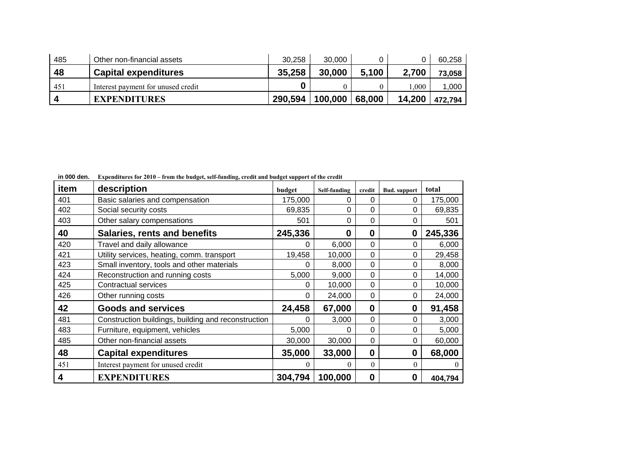| 485 | Other non-financial assets         | 30.258  | 30,000  |        |        | 60.258  |
|-----|------------------------------------|---------|---------|--------|--------|---------|
| 48  | <b>Capital expenditures</b>        | 35,258  | 30,000  | 5,100  | 2,700  | 73,058  |
| 451 | Interest payment for unused credit |         |         |        | .000   | 1,000   |
|     | <b>EXPENDITURES</b>                | 290,594 | 100,000 | 68,000 | 14,200 | 472,794 |

**in 000 den. Expenditures for 2010 – from the budget, self-funding, credit and budget support of the credit** 

| item | description                                         | budget   | Self-funding | credit           | <b>Bud.</b> support | total          |
|------|-----------------------------------------------------|----------|--------------|------------------|---------------------|----------------|
| 401  | Basic salaries and compensation                     | 175,000  | 0            | 0                | 0                   | 175,000        |
| 402  | Social security costs                               | 69,835   | $\Omega$     | 0                | $\Omega$            | 69,835         |
| 403  | Other salary compensations                          | 501      | 0            | 0                | 0                   | 501            |
| 40   | <b>Salaries, rents and benefits</b>                 | 245,336  | $\bf{0}$     | $\bf{0}$         | $\boldsymbol{0}$    | 245,336        |
| 420  | Travel and daily allowance                          | 0        | 6,000        | 0                | 0                   | 6,000          |
| 421  | Utility services, heating, comm. transport          | 19,458   | 10,000       | 0                | 0                   | 29,458         |
| 423  | Small inventory, tools and other materials          | 0        | 8,000        | 0                | 0                   | 8,000          |
| 424  | Reconstruction and running costs                    | 5,000    | 9,000        | 0                | 0                   | 14,000         |
| 425  | <b>Contractual services</b>                         | 0        | 10,000       | $\mathbf 0$      | 0                   | 10,000         |
| 426  | Other running costs                                 | 0        | 24,000       | 0                | 0                   | 24,000         |
| 42   | <b>Goods and services</b>                           | 24,458   | 67,000       | $\boldsymbol{0}$ | 0                   | 91,458         |
| 481  | Construction buildings, building and reconstruction | ∩        | 3,000        | 0                | 0                   | 3,000          |
| 483  | Furniture, equipment, vehicles                      | 5,000    | 0            | 0                | 0                   | 5,000          |
| 485  | Other non-financial assets                          | 30,000   | 30,000       | 0                | 0                   | 60,000         |
| 48   | <b>Capital expenditures</b>                         | 35,000   | 33,000       | $\boldsymbol{0}$ | 0                   | 68,000         |
| 451  | Interest payment for unused credit                  | $\theta$ | $\Omega$     | $\theta$         | $\theta$            | $\overline{0}$ |
| 4    | <b>EXPENDITURES</b>                                 | 304,794  | 100,000      | $\boldsymbol{0}$ | 0                   | 404,794        |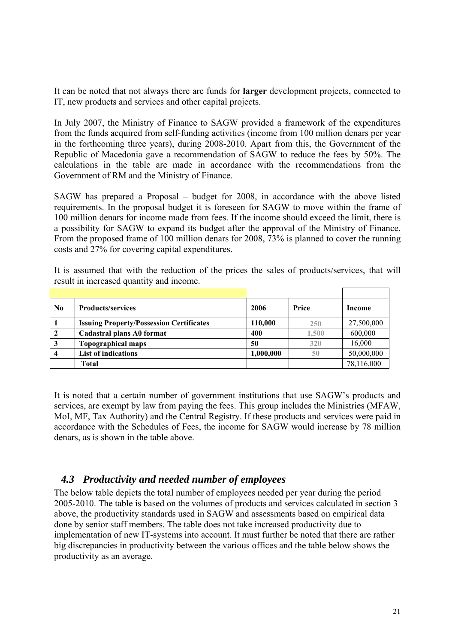It can be noted that not always there are funds for **larger** development projects, connected to IT, new products and services and other capital projects.

In July 2007, the Ministry of Finance to SAGW provided a framework of the expenditures from the funds acquired from self-funding activities (income from 100 million denars per year in the forthcoming three years), during 2008-2010. Apart from this, the Government of the Republic of Macedonia gave a recommendation of SAGW to reduce the fees by 50%. The calculations in the table are made in accordance with the recommendations from the Government of RM and the Ministry of Finance.

SAGW has prepared a Proposal – budget for 2008, in accordance with the above listed requirements. In the proposal budget it is foreseen for SAGW to move within the frame of 100 million denars for income made from fees. If the income should exceed the limit, there is a possibility for SAGW to expand its budget after the approval of the Ministry of Finance. From the proposed frame of 100 million denars for 2008, 73% is planned to cover the running costs and 27% for covering capital expenditures.

It is assumed that with the reduction of the prices the sales of products/services, that will result in increased quantity and income.

| $\bf No$       | <b>Products/services</b>                        | 2006      | Price | Income     |
|----------------|-------------------------------------------------|-----------|-------|------------|
|                | <b>Issuing Property/Possession Certificates</b> | 110,000   | 250   | 27,500,000 |
| $\overline{2}$ | Cadastral plans A0 format                       | 400       | 1,500 | 600,000    |
| $\mathbf{3}$   | <b>Topographical maps</b>                       | 50        | 320   | 16,000     |
| $\overline{4}$ | <b>List of indications</b>                      | 1,000,000 | 50    | 50,000,000 |
|                | <b>Total</b>                                    |           |       | 78,116,000 |

It is noted that a certain number of government institutions that use SAGW's products and services, are exempt by law from paying the fees. This group includes the Ministries (MFAW, MoI, MF, Tax Authority) and the Central Registry. If these products and services were paid in accordance with the Schedules of Fees, the income for SAGW would increase by 78 million denars, as is shown in the table above.

### *4.3 Productivity and needed number of employees*

The below table depicts the total number of employees needed per year during the period 2005-2010. The table is based on the volumes of products and services calculated in section 3 above, the productivity standards used in SAGW and assessments based on empirical data done by senior staff members. The table does not take increased productivity due to implementation of new IT-systems into account. It must further be noted that there are rather big discrepancies in productivity between the various offices and the table below shows the productivity as an average.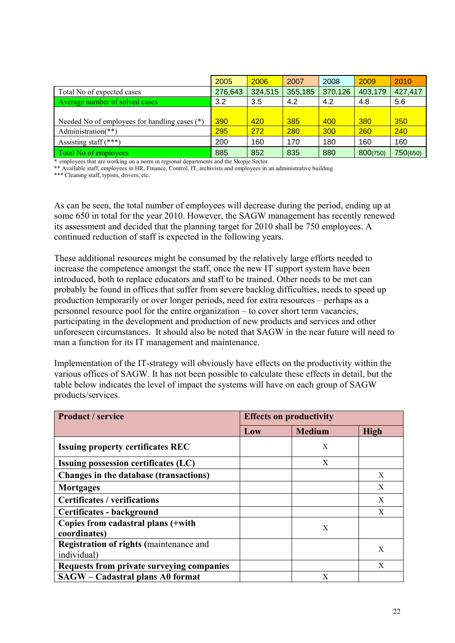|                                               | 2005    | 2006    | 2007    | 2008    | 2009     | 2010     |
|-----------------------------------------------|---------|---------|---------|---------|----------|----------|
| Total No of expected cases                    | 276,643 | 324,515 | 355,185 | 370,126 | 403,179  | 427,417  |
| Average number of solved cases                | 3.2     | 3.5     | 4.2     | 4.2     | 4.8      | 5.6      |
|                                               |         |         |         |         |          |          |
| Needed No of employees for handling cases (*) | 390     | 420     | 385     | 400     | 380      | 350      |
| Administration(**)                            | 295     | 272     | 280     | 300     | 260      | 240      |
| Assisting staff $(***)$                       | 200     | 160     | 170     | 180     | 160      | 160      |
| Total No of employees                         | 885     | 852     | 835     | 880     | 800(750) | 750(650) |

\* employees that are working on a norm in regional departments and the Skopje Sector

\*\* Available staff, employees in HR, Finance, Control, IT, archivists and employees in an administrative building

\*\*\* Cleaning staff, typists, drivers, etc.

As can be seen, the total number of employees will decrease during the period, ending up at some 650 in total for the year 2010. However, the SAGW management has recently renewed its assessment and decided that the planning target for 2010 shall be 750 employees. A continued reduction of staff is expected in the following years.

These additional resources might be consumed by the relatively large efforts needed to increase the competence amongst the staff, once the new IT support system have been introduced, both to replace educators and staff to be trained. Other needs to be met can probably be found in offices that suffer from severe backlog difficulties, needs to speed up production temporarily or over longer periods, need for extra resources – perhaps as a personnel resource pool for the entire organization – to cover short term vacancies, participating in the development and production of new products and services and other unforeseen circumstances. It should also be noted that SAGW in the near future will need to man a function for its IT management and maintenance.

Implementation of the IT-strategy will obviously have effects on the productivity within the various offices of SAGW. It has not been possible to calculate these effects in detail, but the table below indicates the level of impact the systems will have on each group of SAGW products/services.

| <b>Product / service</b>                         | <b>Effects on productivity</b> |               |             |  |  |
|--------------------------------------------------|--------------------------------|---------------|-------------|--|--|
|                                                  | Low                            | <b>Medium</b> | <b>High</b> |  |  |
| <b>Issuing property certificates REC</b>         |                                | X             |             |  |  |
| <b>Issuing possession certificates (LC)</b>      |                                | X             |             |  |  |
| Changes in the database (transactions)           |                                |               | X           |  |  |
| <b>Mortgages</b>                                 |                                |               | X           |  |  |
| <b>Certificates / verifications</b>              |                                |               | X           |  |  |
| Certificates - background                        |                                |               | X           |  |  |
| Copies from cadastral plans (+with               |                                | X             |             |  |  |
| coordinates)                                     |                                |               |             |  |  |
| <b>Registration of rights (maintenance and</b>   |                                |               | X           |  |  |
| individual)                                      |                                |               |             |  |  |
| <b>Requests from private surveying companies</b> |                                |               | X           |  |  |
| <b>SAGW</b> – Cadastral plans A0 format          |                                | X             |             |  |  |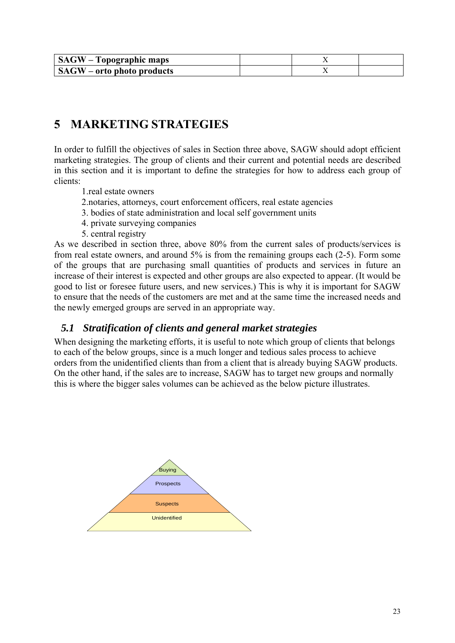| <b>SAGW</b> – Topographic maps |  |  |
|--------------------------------|--|--|
| $SAGW$ – orto photo products   |  |  |

### **5 MARKETING STRATEGIES**

In order to fulfill the objectives of sales in Section three above, SAGW should adopt efficient marketing strategies. The group of clients and their current and potential needs are described in this section and it is important to define the strategies for how to address each group of clients:

- 1.real estate owners
- 2.notaries, attorneys, court enforcement officers, real estate agencies
- 3. bodies of state administration and local self government units
- 4. private surveying companies
- 5. central registry

As we described in section three, above 80% from the current sales of products/services is from real estate owners, and around 5% is from the remaining groups each (2-5). Form some of the groups that are purchasing small quantities of products and services in future an increase of their interest is expected and other groups are also expected to appear. (It would be good to list or foresee future users, and new services.) This is why it is important for SAGW to ensure that the needs of the customers are met and at the same time the increased needs and the newly emerged groups are served in an appropriate way.

### *5.1 Stratification of clients and general market strategies*

When designing the marketing efforts, it is useful to note which group of clients that belongs to each of the below groups, since is a much longer and tedious sales process to achieve orders from the unidentified clients than from a client that is already buying SAGW products. On the other hand, if the sales are to increase, SAGW has to target new groups and normally this is where the bigger sales volumes can be achieved as the below picture illustrates.

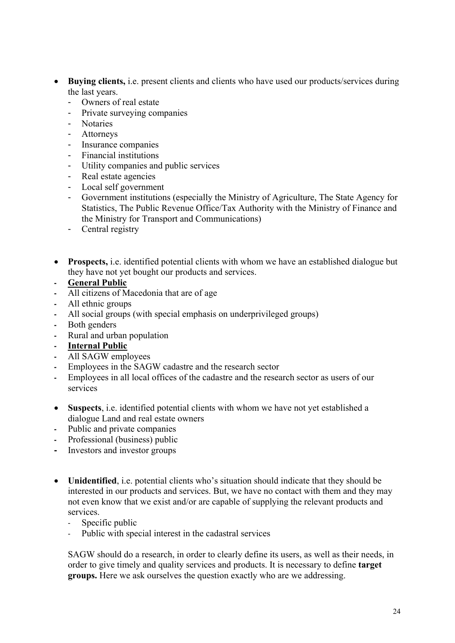- **Buying clients,** i.e. present clients and clients who have used our products/services during the last years.
	- Owners of real estate
	- Private surveying companies
	- Notaries
	- Attorneys
	- Insurance companies
	- Financial institutions
	- Utility companies and public services
	- Real estate agencies
	- Local self government
	- Government institutions (especially the Ministry of Agriculture, The State Agency for Statistics, The Public Revenue Office/Tax Authority with the Ministry of Finance and the Ministry for Transport and Communications)
	- Central registry
- **Prospects,** i.e. identified potential clients with whom we have an established dialogue but they have not yet bought our products and services.
- **General Public**
- All citizens of Macedonia that are of age
- All ethnic groups
- All social groups (with special emphasis on underprivileged groups)
- Both genders
- Rural and urban population
- **Internal Public**
- All SAGW employees
- Employees in the SAGW cadastre and the research sector
- Employees in all local offices of the cadastre and the research sector as users of our services
- **Suspects**, i.e. identified potential clients with whom we have not yet established a dialogue Land and real estate owners
- Public and private companies
- Professional (business) public
- Investors and investor groups
- **Unidentified**, i.e. potential clients who's situation should indicate that they should be interested in our products and services. But, we have no contact with them and they may not even know that we exist and/or are capable of supplying the relevant products and services.
	- Specific public
	- Public with special interest in the cadastral services

SAGW should do a research, in order to clearly define its users, as well as their needs, in order to give timely and quality services and products. It is necessary to define **target groups.** Here we ask ourselves the question exactly who are we addressing.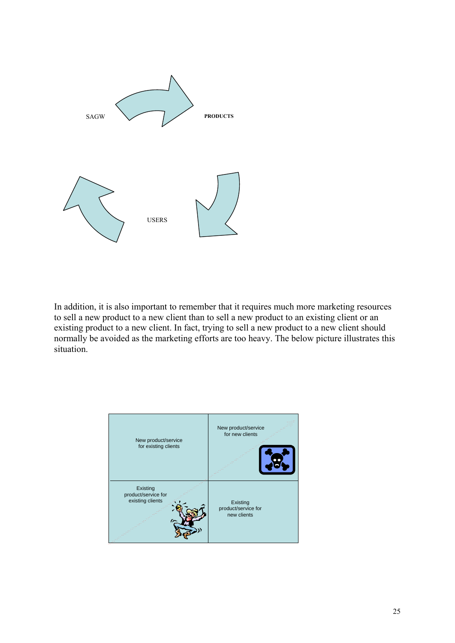

In addition, it is also important to remember that it requires much more marketing resources to sell a new product to a new client than to sell a new product to an existing client or an existing product to a new client. In fact, trying to sell a new product to a new client should normally be avoided as the marketing efforts are too heavy. The below picture illustrates this situation.

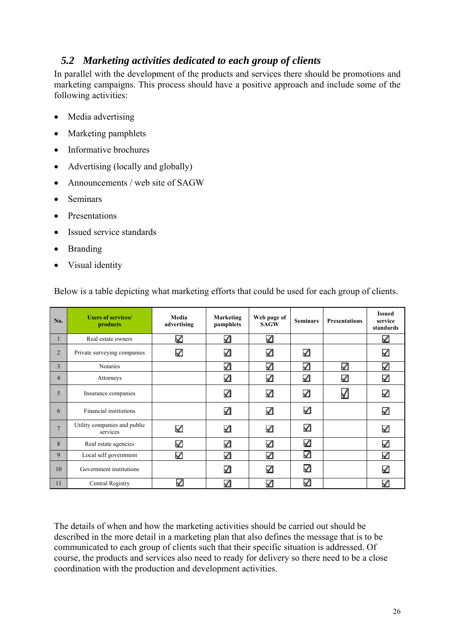### *5.2 Marketing activities dedicated to each group of clients*

In parallel with the development of the products and services there should be promotions and marketing campaigns. This process should have a positive approach and include some of the following activities:

- Media advertising
- Marketing pamphlets
- Informative brochures
- Advertising (locally and globally)
- Announcements / web site of SAGW
- Seminars
- Presentations
- Issued service standards
- Branding
- Visual identity

| No.             | <b>Users of services/</b><br>products    | Media<br>advertising | Marketing<br>pamphlets | Web page of<br><b>SAGW</b> | <b>Seminars</b> | <b>Presentations</b> | <b>Issued</b><br>service<br>standards |
|-----------------|------------------------------------------|----------------------|------------------------|----------------------------|-----------------|----------------------|---------------------------------------|
| 1               | Real estate owners                       | ✓                    | ✓                      | ✓                          |                 |                      | ✓                                     |
| $\overline{2}$  | Private surveying companies              | ✓                    | ✓                      | ✓                          | K               |                      | ✓                                     |
| $\overline{3}$  | <b>Notaries</b>                          |                      | ✓                      | ✓                          | ✓               | ✓                    | ✓                                     |
| $\overline{4}$  | Attorneys                                |                      | ✓                      | ✓                          | К               | ✓                    | ✓                                     |
| 5               | Insurance companies                      |                      | ✓                      | ✓                          | K               | √                    | ✓                                     |
| 6               | Financial institutions                   |                      | ✓                      | ✓                          | ✓               |                      | ✓                                     |
| $7\phantom{.0}$ | Utility companies and public<br>services | ✓                    | ✓                      | ✓                          | ✓               |                      | ✓                                     |
| 8               | Real estate agencies                     | ✓                    | ✓                      | $\checkmark$               | ✓               |                      | ✓                                     |
| 9               | Local self government                    | ✓                    | ✓                      | ✓                          | ✓               |                      | >                                     |
| 10              | Government institutions                  |                      | ✓                      | ✓                          | ✓               |                      | ✓                                     |
| 11              | Central Registry                         |                      | ✓                      | ✓                          | ✓               |                      | ✓                                     |

Below is a table depicting what marketing efforts that could be used for each group of clients.

The details of when and how the marketing activities should be carried out should be described in the more detail in a marketing plan that also defines the message that is to be communicated to each group of clients such that their specific situation is addressed. Of course, the products and services also need to ready for delivery so there need to be a close coordination with the production and development activities.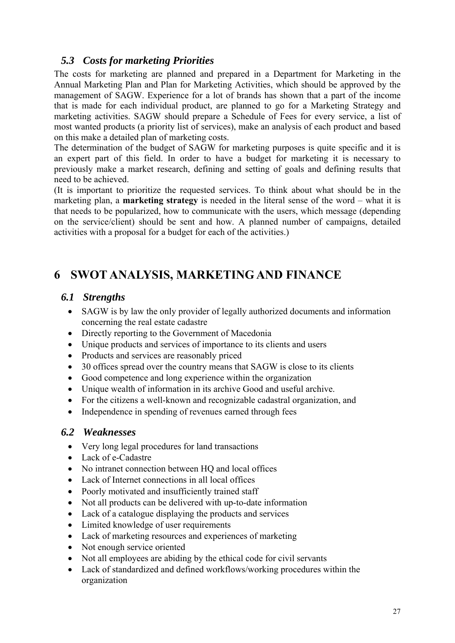### *5.3 Costs for marketing Priorities*

The costs for marketing are planned and prepared in a Department for Marketing in the Annual Marketing Plan and Plan for Marketing Activities, which should be approved by the management of SAGW. Experience for a lot of brands has shown that a part of the income that is made for each individual product, are planned to go for a Marketing Strategy and marketing activities. SAGW should prepare a Schedule of Fees for every service, a list of most wanted products (a priority list of services), make an analysis of each product and based on this make a detailed plan of marketing costs.

The determination of the budget of SAGW for marketing purposes is quite specific and it is an expert part of this field. In order to have a budget for marketing it is necessary to previously make a market research, defining and setting of goals and defining results that need to be achieved.

(It is important to prioritize the requested services. To think about what should be in the marketing plan, a **marketing strategy** is needed in the literal sense of the word – what it is that needs to be popularized, how to communicate with the users, which message (depending on the service/client) should be sent and how. A planned number of campaigns, detailed activities with a proposal for a budget for each of the activities.)

### **6 SWOT ANALYSIS, MARKETING AND FINANCE**

### *6.1 Strengths*

- SAGW is by law the only provider of legally authorized documents and information concerning the real estate cadastre
- Directly reporting to the Government of Macedonia
- Unique products and services of importance to its clients and users
- Products and services are reasonably priced
- 30 offices spread over the country means that SAGW is close to its clients
- Good competence and long experience within the organization
- Unique wealth of information in its archive Good and useful archive.
- For the citizens a well-known and recognizable cadastral organization, and
- Independence in spending of revenues earned through fees

### *6.2 Weaknesses*

- Very long legal procedures for land transactions
- Lack of e-Cadastre
- No intranet connection between HO and local offices
- Lack of Internet connections in all local offices
- Poorly motivated and insufficiently trained staff
- Not all products can be delivered with up-to-date information
- Lack of a catalogue displaying the products and services
- Limited knowledge of user requirements
- Lack of marketing resources and experiences of marketing
- Not enough service oriented
- Not all employees are abiding by the ethical code for civil servants
- Lack of standardized and defined workflows/working procedures within the organization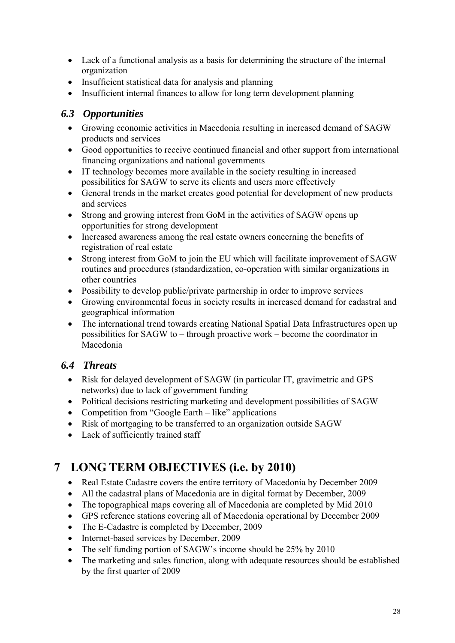- Lack of a functional analysis as a basis for determining the structure of the internal organization
- Insufficient statistical data for analysis and planning
- Insufficient internal finances to allow for long term development planning

### *6.3 Opportunities*

- Growing economic activities in Macedonia resulting in increased demand of SAGW products and services
- Good opportunities to receive continued financial and other support from international financing organizations and national governments
- IT technology becomes more available in the society resulting in increased possibilities for SAGW to serve its clients and users more effectively
- General trends in the market creates good potential for development of new products and services
- Strong and growing interest from GoM in the activities of SAGW opens up opportunities for strong development
- Increased awareness among the real estate owners concerning the benefits of registration of real estate
- Strong interest from GoM to join the EU which will facilitate improvement of SAGW routines and procedures (standardization, co-operation with similar organizations in other countries
- Possibility to develop public/private partnership in order to improve services
- Growing environmental focus in society results in increased demand for cadastral and geographical information
- The international trend towards creating National Spatial Data Infrastructures open up possibilities for SAGW to – through proactive work – become the coordinator in Macedonia

### *6.4 Threats*

- Risk for delayed development of SAGW (in particular IT, gravimetric and GPS networks) due to lack of government funding
- Political decisions restricting marketing and development possibilities of SAGW
- Competition from "Google Earth like" applications
- Risk of mortgaging to be transferred to an organization outside SAGW
- Lack of sufficiently trained staff

# **7 LONG TERM OBJECTIVES (i.e. by 2010)**

- Real Estate Cadastre covers the entire territory of Macedonia by December 2009
- All the cadastral plans of Macedonia are in digital format by December, 2009
- The topographical maps covering all of Macedonia are completed by Mid 2010
- GPS reference stations covering all of Macedonia operational by December 2009
- The E-Cadastre is completed by December, 2009
- Internet-based services by December, 2009
- The self funding portion of SAGW's income should be 25% by 2010
- The marketing and sales function, along with adequate resources should be established by the first quarter of 2009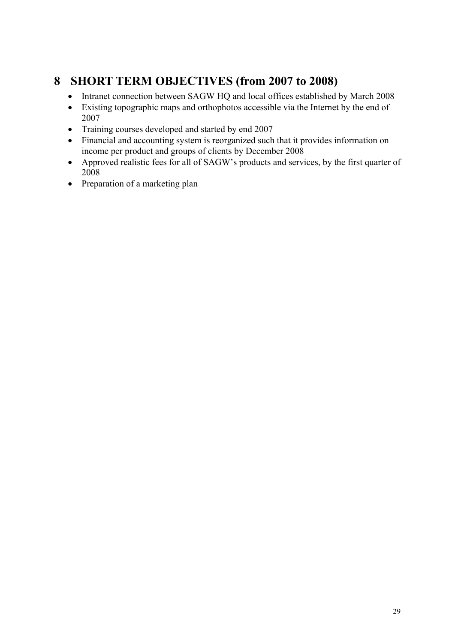### **8 SHORT TERM OBJECTIVES (from 2007 to 2008)**

- Intranet connection between SAGW HQ and local offices established by March 2008
- Existing topographic maps and orthophotos accessible via the Internet by the end of 2007
- Training courses developed and started by end 2007
- Financial and accounting system is reorganized such that it provides information on income per product and groups of clients by December 2008
- Approved realistic fees for all of SAGW's products and services, by the first quarter of 2008
- Preparation of a marketing plan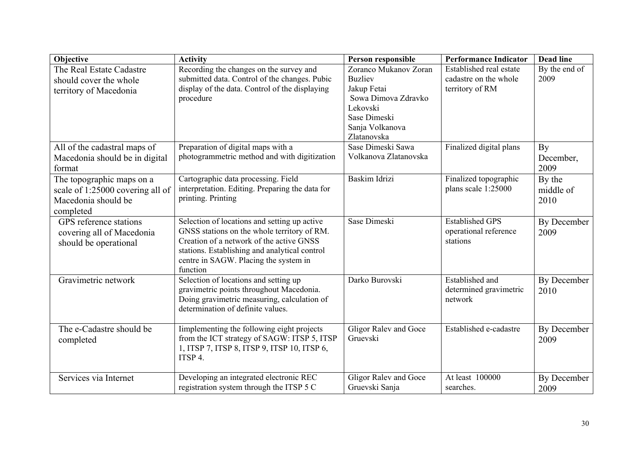| Objective                                                                                         | <b>Activity</b>                                                                                                                                                                                                                               | Person responsible                                                                                                                          | <b>Performance Indicator</b>                                        | <b>Dead line</b>            |
|---------------------------------------------------------------------------------------------------|-----------------------------------------------------------------------------------------------------------------------------------------------------------------------------------------------------------------------------------------------|---------------------------------------------------------------------------------------------------------------------------------------------|---------------------------------------------------------------------|-----------------------------|
| The Real Estate Cadastre<br>should cover the whole<br>territory of Macedonia                      | Recording the changes on the survey and<br>submitted data. Control of the changes. Pubic<br>display of the data. Control of the displaying<br>procedure                                                                                       | Zoranco Mukanov Zoran<br><b>Buzliev</b><br>Jakup Fetai<br>Sowa Dimova Zdravko<br>Lekovski<br>Sase Dimeski<br>Sanja Volkanova<br>Zlatanovska | Established real estate<br>cadastre on the whole<br>territory of RM | By the end of<br>2009       |
| All of the cadastral maps of<br>Macedonia should be in digital<br>format                          | Preparation of digital maps with a<br>photogrammetric method and with digitization                                                                                                                                                            | Sase Dimeski Sawa<br>Volkanova Zlatanovska                                                                                                  | Finalized digital plans                                             | By<br>December,<br>2009     |
| The topographic maps on a<br>scale of 1:25000 covering all of<br>Macedonia should be<br>completed | Cartographic data processing. Field<br>interpretation. Editing. Preparing the data for<br>printing. Printing                                                                                                                                  | Baskim Idrizi                                                                                                                               | Finalized topographic<br>plans scale 1:25000                        | By the<br>middle of<br>2010 |
| GPS reference stations<br>covering all of Macedonia<br>should be operational                      | Selection of locations and setting up active<br>GNSS stations on the whole territory of RM.<br>Creation of a network of the active GNSS<br>stations. Establishing and analytical control<br>centre in SAGW. Placing the system in<br>function | Sase Dimeski                                                                                                                                | <b>Established GPS</b><br>operational reference<br>stations         | By December<br>2009         |
| Gravimetric network                                                                               | Selection of locations and setting up<br>gravimetric points throughout Macedonia.<br>Doing gravimetric measuring, calculation of<br>determination of definite values.                                                                         | Darko Burovski                                                                                                                              | Established and<br>determined gravimetric<br>network                | By December<br>2010         |
| The e-Cadastre should be<br>completed                                                             | Implementing the following eight projects<br>from the ICT strategy of SAGW: ITSP 5, ITSP<br>1, ITSP 7, ITSP 8, ITSP 9, ITSP 10, ITSP 6,<br>ITSP 4.                                                                                            | Gligor Ralev and Goce<br>Gruevski                                                                                                           | Established e-cadastre                                              | By December<br>2009         |
| Services via Internet                                                                             | Developing an integrated electronic REC<br>registration system through the ITSP 5 C                                                                                                                                                           | Gligor Ralev and Goce<br>Gruevski Sanja                                                                                                     | At least 100000<br>searches.                                        | By December<br>2009         |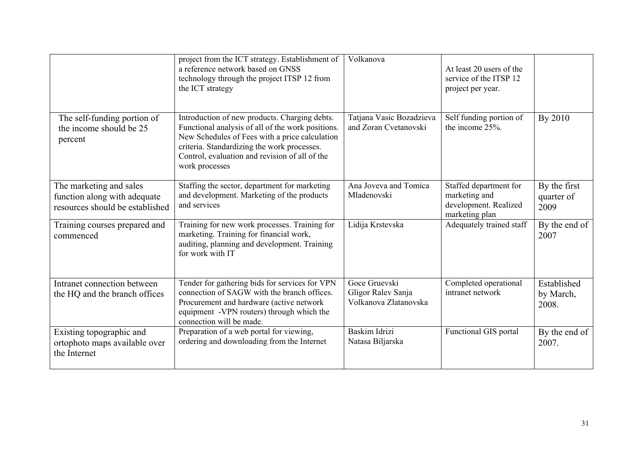|                                                                                            | project from the ICT strategy. Establishment of<br>a reference network based on GNSS<br>technology through the project ITSP 12 from<br>the ICT strategy                                                                                                                 | Volkanova                                                    | At least 20 users of the<br>service of the ITSP 12<br>project per year.            |                                    |
|--------------------------------------------------------------------------------------------|-------------------------------------------------------------------------------------------------------------------------------------------------------------------------------------------------------------------------------------------------------------------------|--------------------------------------------------------------|------------------------------------------------------------------------------------|------------------------------------|
| The self-funding portion of<br>the income should be 25<br>percent                          | Introduction of new products. Charging debts.<br>Functional analysis of all of the work positions.<br>New Schedules of Fees with a price calculation<br>criteria. Standardizing the work processes.<br>Control, evaluation and revision of all of the<br>work processes | Tatjana Vasic Bozadzieva<br>and Zoran Cvetanovski            | Self funding portion of<br>the income 25%.                                         | By 2010                            |
| The marketing and sales<br>function along with adequate<br>resources should be established | Staffing the sector, department for marketing<br>and development. Marketing of the products<br>and services                                                                                                                                                             | Ana Joveva and Tomica<br>Mladenovski                         | Staffed department for<br>marketing and<br>development. Realized<br>marketing plan | By the first<br>quarter of<br>2009 |
| Training courses prepared and<br>commenced                                                 | Training for new work processes. Training for<br>marketing. Training for financial work,<br>auditing, planning and development. Training<br>for work with IT                                                                                                            | Lidija Krstevska                                             | Adequately trained staff                                                           | By the end of<br>2007              |
| Intranet connection between<br>the HQ and the branch offices                               | Tender for gathering bids for services for VPN<br>connection of SAGW with the branch offices.<br>Procurement and hardware (active network<br>equipment -VPN routers) through which the<br>connection will be made.                                                      | Goce Gruevski<br>Gligor Ralev Sanja<br>Volkanova Zlatanovska | Completed operational<br>intranet network                                          | Established<br>by March,<br>2008.  |
| Existing topographic and<br>ortophoto maps available over<br>the Internet                  | Preparation of a web portal for viewing,<br>ordering and downloading from the Internet                                                                                                                                                                                  | Baskim Idrizi<br>Natasa Biljarska                            | <b>Functional GIS portal</b>                                                       | By the end of<br>2007.             |